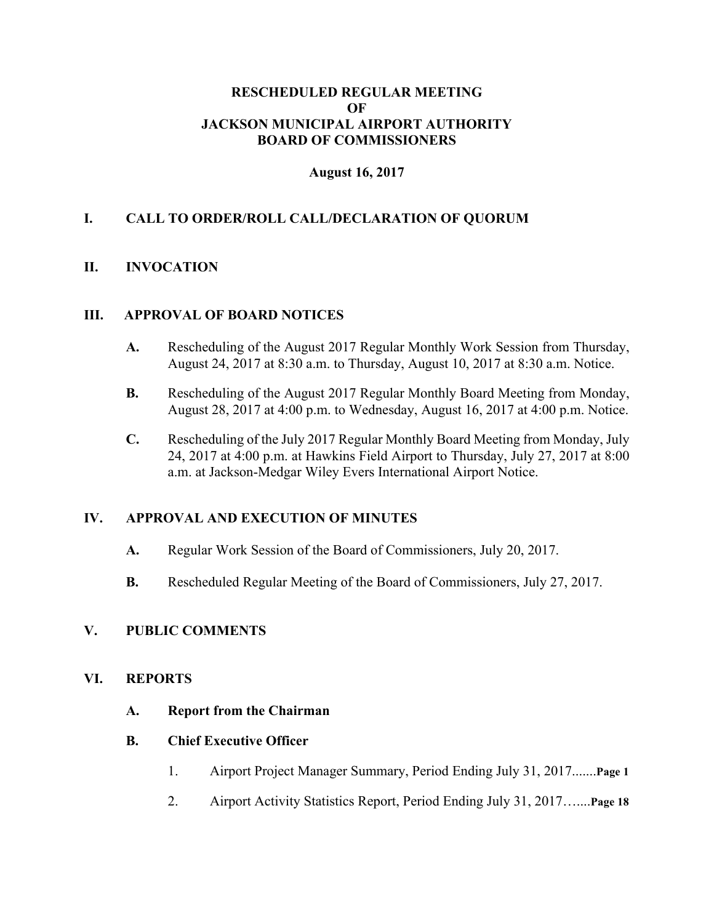#### **RESCHEDULED REGULAR MEETING OF JACKSON MUNICIPAL AIRPORT AUTHORITY BOARD OF COMMISSIONERS**

### **August 16, 2017**

### **I. CALL TO ORDER/ROLL CALL/DECLARATION OF QUORUM**

### **II. INVOCATION**

#### **III. APPROVAL OF BOARD NOTICES**

- **A.** Rescheduling of the August 2017 Regular Monthly Work Session from Thursday, August 24, 2017 at 8:30 a.m. to Thursday, August 10, 2017 at 8:30 a.m. Notice.
- **B.** Rescheduling of the August 2017 Regular Monthly Board Meeting from Monday, August 28, 2017 at 4:00 p.m. to Wednesday, August 16, 2017 at 4:00 p.m. Notice.
- **C.** Rescheduling of the July 2017 Regular Monthly Board Meeting from Monday, July 24, 2017 at 4:00 p.m. at Hawkins Field Airport to Thursday, July 27, 2017 at 8:00 a.m. at Jackson-Medgar Wiley Evers International Airport Notice.

#### **IV. APPROVAL AND EXECUTION OF MINUTES**

- **A.** Regular Work Session of the Board of Commissioners, July 20, 2017.
- **B.** Rescheduled Regular Meeting of the Board of Commissioners, July 27, 2017.

#### **V. PUBLIC COMMENTS**

#### **VI. REPORTS**

**A. Report from the Chairman**

#### **B. Chief Executive Officer**

- 1. Airport Project Manager Summary, Period Ending July 31, 2017.......**Page 1**
- 2. Airport Activity Statistics Report, Period Ending July 31, 2017…....**Page 18**